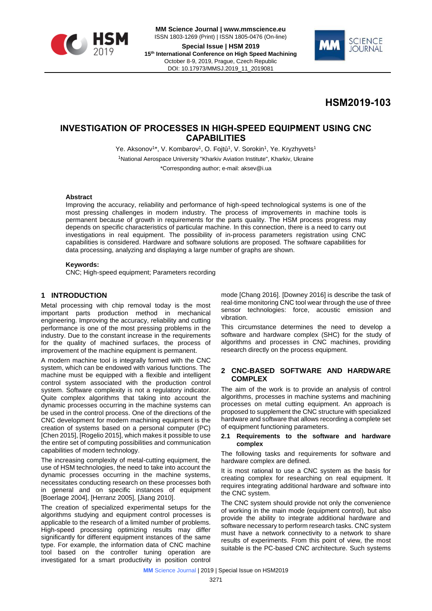



# **HSM2019-103**

## **INVESTIGATION OF PROCESSES IN HIGH-SPEED EQUIPMENT USING CNC CAPABILITIES**

Ye. Aksonov<sup>1\*</sup>, V. Kombarov<sup>1</sup>, O. Fojtů<sup>1</sup>, V. Sorokin<sup>1</sup>, Ye. Kryzhyvets<sup>1</sup> <sup>1</sup>National Aerospace University "Kharkiv Aviation Institute", Kharkiv, Ukraine \*Corresponding author; e-mail: aksev@i.ua

#### **Abstract**

Improving the accuracy, reliability and performance of high-speed technological systems is one of the most pressing challenges in modern industry. The process of improvements in machine tools is permanent because of growth in requirements for the parts quality. The HSM process progress may depends on specific characteristics of particular machine. In this connection, there is a need to carry out investigations in real equipment. The possibility of in-process parameters registration using CNC capabilities is considered. Hardware and software solutions are proposed. The software capabilities for data processing, analyzing and displaying a large number of graphs are shown.

#### **Keywords:**

CNC; High-speed equipment; Parameters recording

## **1 INTRODUCTION**

Metal processing with chip removal today is the most important parts production method in mechanical engineering. Improving the accuracy, reliability and cutting performance is one of the most pressing problems in the industry. Due to the constant increase in the requirements for the quality of machined surfaces, the process of improvement of the machine equipment is permanent.

A modern machine tool is integrally formed with the CNC system, which can be endowed with various functions. The machine must be equipped with a flexible and intelligent control system associated with the production control system. Software complexity is not a regulatory indicator. Quite complex algorithms that taking into account the dynamic processes occurring in the machine systems can be used in the control process. One of the directions of the CNC development for modern machining equipment is the creation of systems based on a personal computer (PC) [Chen 2015], [Rogelio 2015], which makes it possible to use the entire set of computing possibilities and communication capabilities of modern technology.

The increasing complexity of metal-cutting equipment, the use of HSM technologies, the need to take into account the dynamic processes occurring in the machine systems, necessitates conducting research on these processes both in general and on specific instances of equipment [Boerlage 2004], [Herranz 2005], [Jiang 2010].

The creation of specialized experimental setups for the algorithms studying and equipment control processes is applicable to the research of a limited number of problems. High-speed processing optimizing results may differ significantly for different equipment instances of the same type. For example, the information data of CNC machine tool based on the controller tuning operation are investigated for a smart productivity in position control

mode [Chang 2016]. [Downey 2016] is describe the task of real-time monitoring CNC tool wear through the use of three sensor technologies: force, acoustic emission and vibration.

This circumstance determines the need to develop a software and hardware complex (SHC) for the study of algorithms and processes in CNC machines, providing research directly on the process equipment.

#### **2 CNC-BASED SOFTWARE AND HARDWARE COMPLEX**

The aim of the work is to provide an analysis of control algorithms, processes in machine systems and machining processes on metal cutting equipment. An approach is proposed to supplement the CNC structure with specialized hardware and software that allows recording a complete set of equipment functioning parameters.

#### **2.1 Requirements to the software and hardware complex**

The following tasks and requirements for software and hardware complex are defined.

It is most rational to use a CNC system as the basis for creating complex for researching on real equipment. It requires integrating additional hardware and software into the CNC system.

The CNC system should provide not only the convenience of working in the main mode (equipment control), but also provide the ability to integrate additional hardware and software necessary to perform research tasks. CNC system must have a network connectivity to a network to share results of experiments. From this point of view, the most suitable is the PC-based CNC architecture. Such systems

**MM** Science Journal | 2019 | Special Issue on HSM2019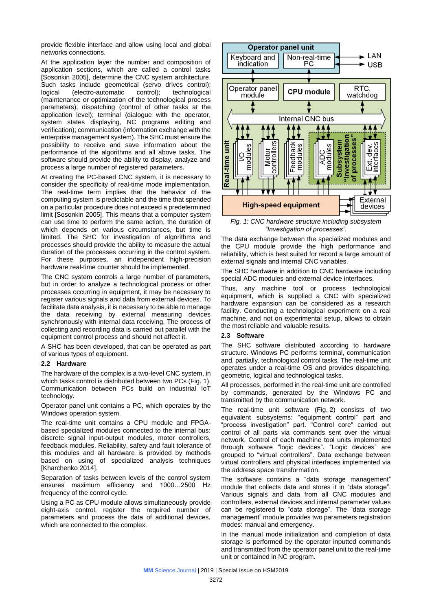provide flexible interface and allow using local and global networks connections.

At the application layer the number and composition of application sections, which are called a control tasks [Sosonkin 2005], determine the CNC system architecture. Such tasks include geometrical (servo drives control); logical (electro-automatic control); technological (maintenance or optimization of the technological process parameters); dispatching (control of other tasks at the application level); terminal (dialogue with the operator, system states displaying, NC programs editing and verification); communication (information exchange with the enterprise management system). The SHC must ensure the possibility to receive and save information about the performance of the algorithms and all above tasks. The software should provide the ability to display, analyze and process a large number of registered parameters.

At creating the PC-based CNC system, it is necessary to consider the specificity of real-time mode implementation. The real-time term implies that the behavior of the computing system is predictable and the time that spended on a particular procedure does not exceed a predetermined limit [Sosonkin 2005]. This means that a computer system can use time to perform the same action, the duration of which depends on various circumstances, but time is limited. The SHC for investigation of algorithms and processes should provide the ability to measure the actual duration of the processes occurring in the control system. For these purposes, an independent high-precision hardware real-time counter should be implemented.

The CNC system controls a large number of parameters, but in order to analyze a technological process or other processes occurring in equipment, it may be necessary to register various signals and data from external devices. To facilitate data analysis, it is necessary to be able to manage the data receiving by external measuring devices synchronously with internal data receiving. The process of collecting and recording data is carried out parallel with the equipment control process and should not affect it.

A SHC has been developed, that can be operated as part of various types of equipment.

#### **2.2 Hardware**

The hardware of the complex is a two-level CNC system, in which tasks control is distributed between two PCs (Fig. 1). Communication between PCs build on industrial IoT technology.

Operator panel unit contains a PC, which operates by the Windows operation system.

The real-time unit contains a CPU module and FPGAbased specialized modules connected to the internal bus: discrete signal input-output modules, motor controllers, feedback modules. Reliability, safety and fault tolerance of this modules and all hardware is provided by methods based on using of specialized analysis techniques [Kharchenko 2014].

Separation of tasks between levels of the control system ensures maximum efficiency and 1000…2500 Hz frequency of the control cycle.

Using a PC as CPU module allows simultaneously provide eight-axis control, register the required number of parameters and process the data of additional devices, which are connected to the complex.



*Fig. 1: CNC hardware structure including subsystem "Investigation of processes".*

The data exchange between the specialized modules and the CPU module provide the high performance and reliability, which is best suited for record a large amount of external signals and internal CNC variables.

The SHC hardware in addition to CNC hardware including special ADC modules and external device interfaces.

Thus, any machine tool or process technological equipment, which is supplied a CNC with specialized hardware expansion can be considered as a research facility. Conducting a technological experiment on a real machine, and not on experimental setup, allows to obtain the most reliable and valuable results.

#### **2.3 Software**

The SHC software distributed according to hardware structure. Windows PC performs terminal, communication and, partially, technological control tasks. The real-time unit operates under a real-time OS and provides dispatching, geometric, logical and technological tasks.

All processes, performed in the real-time unit are controlled by commands, generated by the Windows PC and transmitted by the communication network.

The real-time unit software (Fig. 2) consists of two equivalent subsystems: "equipment control" part and "process investigation" part. "Control core" carried out control of all parts via commands sent over the virtual network. Control of each machine tool units implemented through software "logic devices". "Logic devices" are grouped to "virtual controllers". Data exchange between virtual controllers and physical interfaces implemented via the address space transformation.

The software contains a "data storage management" module that collects data and stores it in "data storage". Various signals and data from all CNC modules and controllers, external devices and internal parameter values can be registered to "data storage". The "data storage management" module provides two parameters registration modes: manual and emergency.

In the manual mode initialization and completion of data storage is performed by the operator inputted commands and transmitted from the operator panel unit to the real-time unit or contained in NC program.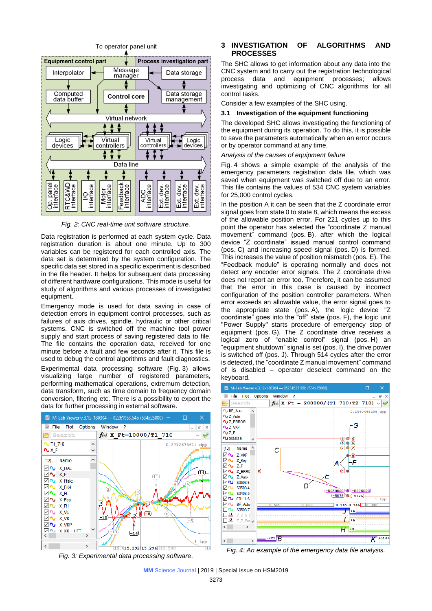

*Fig. 2: CNC real-time unit software structure.*

Data registration is performed at each system cycle. Data registration duration is about one minute. Up to 300 variables can be registered for each controlled axis. The data set is determined by the system configuration. The specific data set stored in a specific experiment is described in the file header. It helps for subsequent data processing of different hardware configurations. This mode is useful for study of algorithms and various processes of investigated equipment.

Emergency mode is used for data saving in case of detection errors in equipment control processes, such as failures of axis drives, spindle, hydraulic or other critical systems. CNC is switched off the machine tool power supply and start process of saving registered data to file. The file contains the operation data, received for one minute before a fault and few seconds after it. This file is used to debug the control algorithms and fault diagnostics. Experimental data processing software (Fig. 3) allows visualizing large number of registered parameters, performing mathematical operations, extremum detection, data transform, such as time domain to frequency domain conversion, filtering etc. There is a possibility to export the data for further processing in external software.



*Fig. 3: Experimental data processing software.*

#### **3 INVESTIGATION OF ALGORITHMS AND PROCESSES**

The SHC allows to get information about any data into the CNC system and to carry out the registration technological process data and equipment processes; allows investigating and optimizing of CNC algorithms for all control tasks.

Consider a few examples of the SHC using.

#### **3.1 Investigation of the equipment functioning**

The developed SHC allows investigating the functioning of the equipment during its operation. To do this, it is possible to save the parameters automatically when an error occurs or by operator command at any time.

#### *Analysis of the causes of equipment failure*

Fig. 4 shows a simple example of the analysis of the emergency parameters registration data file, which was saved when equipment was switched off due to an error. This file contains the values of 534 CNC system variables for 25,000 control cycles.

In the position A it can be seen that the Z coordinate error signal goes from state 0 to state 8, which means the excess of the allowable position error. For 221 cycles up to this point the operator has selected the "coordinate Z manual movement" command (pos. B), after which the logical device "Z coordinate" issued manual control command (pos. C) and increasing speed signal (pos. D) is formed. This increases the value of position mismatch (pos. E). The "Feedback module" is operating normally and does not detect any encoder error signals. The Z coordinate drive does not report an error too. Therefore, it can be assumed that the error in this case is caused by incorrect configuration of the position controller parameters. When error exceeds an allowable value, the error signal goes to the appropriate state (pos. A), the logic device "Z coordinate" goes into the "off" state (pos. F), the logic unit "Power Supply" starts procedure of emergency stop of equipment (pos. G). The Z coordinate drive receives a logical zero of "enable control" signal (pos. H) an "equipment shutdown" signal is set (pos. I), the drive power is switched off (pos. J). Through 514 cycles after the error is detected, the "coordinate Z manual movement" command of is disabled – operator deselect command on the keyboard.



*Fig. 4: An example of the emergency data file analysis.*

**MM** Science Journal | 2019 | Special Issue on HSM2019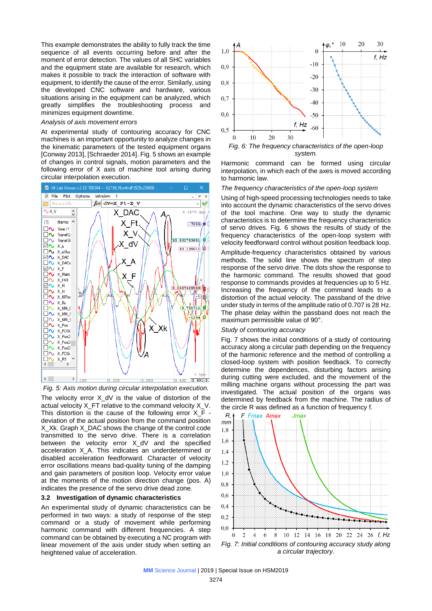This example demonstrates the ability to fully track the time sequence of all events occurring before and after the moment of error detection. The values of all SHC variables and the equipment state are available for research, which makes it possible to track the interaction of software with equipment, to identify the cause of the error. Similarly, using the developed CNC software and hardware, various situations arising in the equipment can be analyzed, which greatly simplifies the troubleshooting process and minimizes equipment downtime.

#### *Analysis of axis movement errors*

At experimental study of contouring accuracy for CNC machines is an important opportunity to analyze changes in the kinematic parameters of the tested equipment organs [Conway 2013], [Schraeder 2014]. Fig. 5 shows an example of changes in control signals, motion parameters and the following error of X axis of machine tool arising during circular interpolation execution.





The velocity error X\_dV is the value of distortion of the actual velocity X\_FT relative to the command velocity X\_V. This distortion is the cause of the following error  $X$  F deviation of the actual position from the command position X Xk. Graph X DAC shows the change of the control code transmitted to the servo drive. There is a correlation between the velocity error X\_dV and the specified acceleration X\_A. This indicates an underdetermined or disabled acceleration feedforward. Character of velocity error oscillations means bad-quality tuning of the damping and gain parameters of position loop. Velocity error value at the moments of the motion direction change (pos. A) indicates the presence of the servo drive dead zone.

#### **3.2 Investigation of dynamic characteristics**

An experimental study of dynamic characteristics can be performed in two ways: a study of response of the step command or a study of movement while performing harmonic command with different frequencies. A step command can be obtained by executing a NC program with linear movement of the axis under study when setting an heightened value of acceleration.



Harmonic command can be formed using circular interpolation, in which each of the axes is moved according to harmonic law.

#### *The frequency characteristics of the open-loop system*

Using of high-speed processing technologies needs to take into account the dynamic characteristics of the servo drives of the tool machine. One way to study the dynamic characteristics is to determine the frequency characteristics of servo drives. Fig. 6 shows the results of study of the frequency characteristics of the open-loop system with velocity feedforward control without position feedback loop. Amplitude-frequency characteristics obtained by various methods. The solid line shows the spectrum of step response of the servo drive. The dots show the response to the harmonic command. The results showed that good response to commands provides at frequencies up to 5 Hz. Increasing the frequency of the command leads to a distortion of the actual velocity. The passband of the drive under study in terms of the amplitude ratio of 0.707 is 28 Hz. The phase delay within the passband does not reach the maximum permissible value of 90°.

### *Study of contouring accuracy*

Fig. 7 shows the initial conditions of a study of contouring accuracy along a circular path depending on the frequency of the harmonic reference and the method of controlling a closed-loop system with position feedback. To correctly determine the dependences, disturbing factors arising during cutting were excluded, and the movement of the milling machine organs without processing the part was investigated. The actual position of the organs was determined by feedback from the machine. The radius of the circle R was defined as a function of frequency f.



*a circular trajectory.*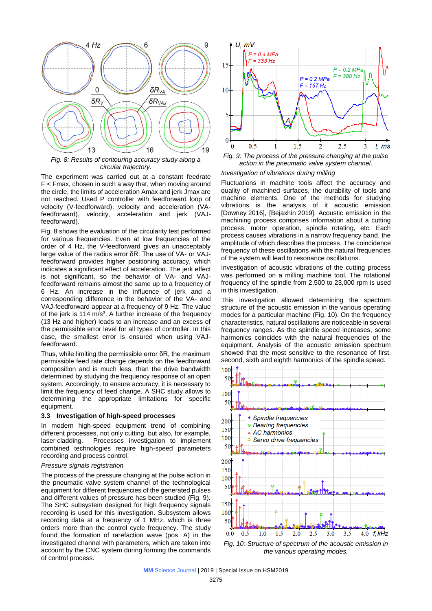

*Fig. 8: Results of contouring accuracy study along a circular trajectory.*

The experiment was carried out at a constant feedrate F < Fmax, chosen in such a way that, when moving around the circle, the limits of acceleration Amax and jerk Jmax are not reached. Used P controller with feedforward loop of velocity (V-feedforward), velocity and acceleration (VAfeedforward), velocity, acceleration and jerk (VAJfeedforward).

Fig. 8 shows the evaluation of the circularity test performed for various frequencies. Even at low frequencies of the order of 4 Hz, the V-feedforward gives an unacceptably large value of the radius error δR. The use of VA- or VAJfeedforward provides higher positioning accuracy, which indicates a significant effect of acceleration. The jerk effect is not significant, so the behavior of VA- and VAJfeedforward remains almost the same up to a frequency of 6 Hz. An increase in the influence of jerk and a corresponding difference in the behavior of the VA- and VAJ-feedforward appear at a frequency of 9 Hz. The value of the jerk is  $114 \text{ m/s}^3$ . A further increase of the frequency (13 Hz and higher) leads to an increase and an excess of the permissible error level for all types of controller. In this case, the smallest error is ensured when using VAJfeedforward.

Thus, while limiting the permissible error δR, the maximum permissible feed rate change depends on the feedforward composition and is much less, than the drive bandwidth determined by studying the frequency response of an open system. Accordingly, to ensure accuracy, it is necessary to limit the frequency of feed change. A SHC study allows to determining the appropriate limitations for specific equipment.

#### **3.3 Investigation of high-speed processes**

In modern high-speed equipment trend of combining different processes, not only cutting, but also, for example, laser cladding. Processes investigation to implement combined technologies require high-speed parameters recording and process control.

#### *Pressure signals registration*

The process of the pressure changing at the pulse action in the pneumatic valve system channel of the technological equipment for different frequencies of the generated pulses and different values of pressure has been studied (Fig. 9). The SHC subsystem designed for high frequency signals recording is used for this investigation. Subsystem allows recording data at a frequency of 1 MHz, which is three orders more than the control cycle frequency. The study found the formation of rarefaction wave (pos. A) in the investigated channel with parameters, which are taken into account by the CNC system during forming the commands of control process.



*Fig. 9: The process of the pressure changing at the pulse action in the pneumatic valve system channel.*

## *Investigation of vibrations during milling*

Fluctuations in machine tools affect the accuracy and quality of machined surfaces, the durability of tools and machine elements. One of the methods for studying vibrations is the analysis of it acoustic emission [Downey 2016], [Bejaxhin 2019]. Acoustic emission in the machining process comprises information about a cutting process, motor operation, spindle rotating, etc. Each process causes vibrations in a narrow frequency band, the amplitude of which describes the process. The coincidence frequency of these oscillations with the natural frequencies of the system will lead to resonance oscillations.

Investigation of acoustic vibrations of the cutting process was performed on a milling machine tool. The rotational frequency of the spindle from 2,500 to 23,000 rpm is used in this investigation.

This investigation allowed determining the spectrum structure of the acoustic emission in the various operating modes for a particular machine (Fig. 10). On the frequency characteristics, natural oscillations are noticeable in several frequency ranges. As the spindle speed increases, some harmonics coincides with the natural frequencies of the equipment. Analysis of the acoustic emission spectrum showed that the most sensitive to the resonance of first, second, sixth and eighth harmonics of the spindle speed.



*Fig. 10: Structure of spectrum of the acoustic emission in the various operating modes.*

**MM** Science Journal | 2019 | Special Issue on HSM2019